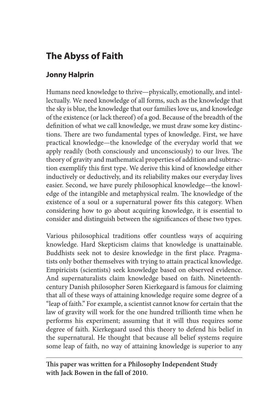# **The Abyss of Faith**

## **Jonny Halprin**

Humans need knowledge to thrive—physically, emotionally, and intellectually. We need knowledge of all forms, such as the knowledge that the sky is blue, the knowledge that our families love us, and knowledge of the existence (or lack thereof) of a god. Because of the breadth of the definition of what we call knowledge, we must draw some key distinctions. There are two fundamental types of knowledge. First, we have practical knowledge—the knowledge of the everyday world that we apply readily (both consciously and unconsciously) to our lives. The theory of gravity and mathematical properties of addition and subtraction exemplify this first type. We derive this kind of knowledge either inductively or deductively, and its reliability makes our everyday lives easier. Second, we have purely philosophical knowledge—the knowledge of the intangible and metaphysical realm. The knowledge of the existence of a soul or a supernatural power fits this category. When considering how to go about acquiring knowledge, it is essential to consider and distinguish between the significances of these two types.

Various philosophical traditions offer countless ways of acquiring knowledge. Hard Skepticism claims that knowledge is unattainable. Buddhists seek not to desire knowledge in the first place. Pragmatists only bother themselves with trying to attain practical knowledge. Empiricists (scientists) seek knowledge based on observed evidence. And supernaturalists claim knowledge based on faith. Nineteenthcentury Danish philosopher Søren Kierkegaard is famous for claiming that all of these ways of attaining knowledge require some degree of a "leap of faith." For example, a scientist cannot know for certain that the law of gravity will work for the one hundred trillionth time when he performs his experiment; assuming that it will thus requires some degree of faith. Kierkegaard used this theory to defend his belief in the supernatural. He thought that because all belief systems require some leap of faith, no way of attaining knowledge is superior to any

**This paper was written for a Philosophy Independent Study with Jack Bowen in the fall of 2010.**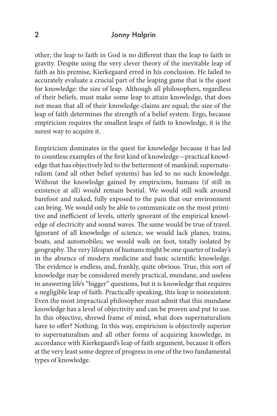#### 2 Jonny Halprin

other; the leap to faith in God is no different than the leap to faith in gravity. Despite using the very clever theory of the inevitable leap of faith as his premise, Kierkegaard erred in his conclusion. He failed to accurately evaluate a crucial part of the leaping game that is the quest for knowledge: the size of leap. Although all philosophers, regardless of their beliefs, must make some leap to attain knowledge, that does not mean that all of their knowledge-claims are equal; the size of the leap of faith determines the strength of a belief system. Ergo, because empiricism requires the smallest leaps of faith to knowledge, it is the surest way to acquire it.

Empiricism dominates in the quest for knowledge because it has led to countless examples of the first kind of knowledge—practical knowledge that has objectively led to the betterment of mankind; supernaturalism (and all other belief systems) has led to no such knowledge. Without the knowledge gained by empiricism, humans (if still in existence at all) would remain bestial. We would still walk around barefoot and naked, fully exposed to the pain that our environment can bring. We would only be able to communicate on the most primitive and inefficient of levels, utterly ignorant of the empirical knowledge of electricity and sound waves. The same would be true of travel. Ignorant of all knowledge of science, we would lack planes, trains, boats, and automobiles; we would walk on foot, totally isolated by geography. The very lifespan of humans might be one quarter of today's in the absence of modern medicine and basic scientific knowledge. The evidence is endless, and, frankly, quite obvious. True, this sort of knowledge may be considered merely practical, mundane, and useless in answering life's "bigger" questions, but it is knowledge that requires a negligible leap of faith. Practically speaking, this leap is nonexistent. Even the most impractical philosopher must admit that this mundane knowledge has a level of objectivity and can be proven and put to use. In this objective, shrewd frame of mind, what does supernaturalism have to offer? Nothing. In this way, empiricism is objectively superior to supernaturalism and all other forms of acquiring knowledge, in accordance with Kierkegaard's leap of faith argument, because it offers at the very least some degree of progress in one of the two fundamental types of knowledge.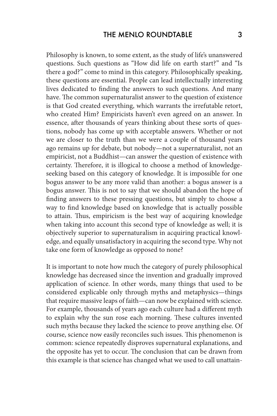Philosophy is known, to some extent, as the study of life's unanswered questions. Such questions as "How did life on earth start?" and "Is there a god?" come to mind in this category. Philosophically speaking, these questions are essential. People can lead intellectually interesting lives dedicated to finding the answers to such questions. And many have. The common supernaturalist answer to the question of existence is that God created everything, which warrants the irrefutable retort, who created Him? Empiricists haven't even agreed on an answer. In essence, after thousands of years thinking about these sorts of questions, nobody has come up with acceptable answers. Whether or not we are closer to the truth than we were a couple of thousand years ago remains up for debate, but nobody—not a supernaturalist, not an empiricist, not a Buddhist—can answer the question of existence with certainty. Therefore, it is illogical to choose a method of knowledgeseeking based on this category of knowledge. It is impossible for one bogus answer to be any more valid than another: a bogus answer is a bogus answer. This is not to say that we should abandon the hope of finding answers to these pressing questions, but simply to choose a way to find knowledge based on knowledge that is actually possible to attain. Thus, empiricism is the best way of acquiring knowledge when taking into account this second type of knowledge as well; it is objectively superior to supernaturalism in acquiring practical knowledge, and equally unsatisfactory in acquiring the second type. Why not take one form of knowledge as opposed to none?

It is important to note how much the category of purely philosophical knowledge has decreased since the invention and gradually improved application of science. In other words, many things that used to be considered explicable only through myths and metaphysics—things that require massive leaps of faith—can now be explained with science. For example, thousands of years ago each culture had a different myth to explain why the sun rose each morning. These cultures invented such myths because they lacked the science to prove anything else. Of course, science now easily reconciles such issues. This phenomenon is common: science repeatedly disproves supernatural explanations, and the opposite has yet to occur. The conclusion that can be drawn from this example is that science has changed what we used to call unattain-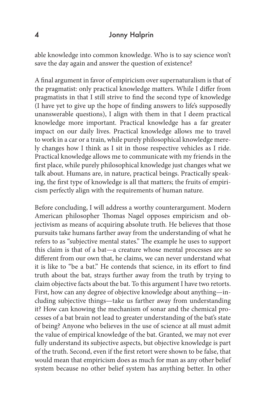### 4 Jonny Halprin

able knowledge into common knowledge. Who is to say science won't save the day again and answer the question of existence?

A final argument in favor of empiricism over supernaturalism is that of the pragmatist: only practical knowledge matters. While I differ from pragmatists in that I still strive to find the second type of knowledge (I have yet to give up the hope of finding answers to life's supposedly unanswerable questions), I align with them in that I deem practical knowledge more important. Practical knowledge has a far greater impact on our daily lives. Practical knowledge allows me to travel to work in a car or a train, while purely philosophical knowledge merely changes how I think as I sit in those respective vehicles as I ride. Practical knowledge allows me to communicate with my friends in the first place, while purely philosophical knowledge just changes what we talk about. Humans are, in nature, practical beings. Practically speaking, the first type of knowledge is all that matters; the fruits of empiricism perfectly align with the requirements of human nature.

Before concluding, I will address a worthy counterargument. Modern American philosopher Thomas Nagel opposes empiricism and objectivism as means of acquiring absolute truth. He believes that those pursuits take humans farther away from the understanding of what he refers to as "subjective mental states." The example he uses to support this claim is that of a bat—a creature whose mental processes are so different from our own that, he claims, we can never understand what it is like to "be a bat." He contends that science, in its effort to find truth about the bat, strays further away from the truth by trying to claim objective facts about the bat. To this argument I have two retorts. First, how can any degree of objective knowledge about anything—including subjective things—take us farther away from understanding it? How can knowing the mechanism of sonar and the chemical processes of a bat brain not lead to greater understanding of the bat's state of being? Anyone who believes in the use of science at all must admit the value of empirical knowledge of the bat. Granted, we may not ever fully understand its subjective aspects, but objective knowledge is part of the truth. Second, even if the first retort were shown to be false, that would mean that empiricism does as much for man as any other belief system because no other belief system has anything better. In other